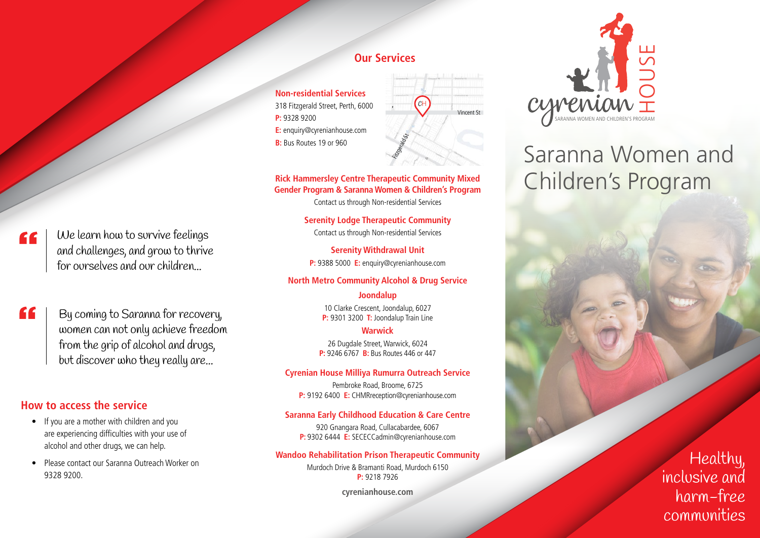# We learn how to survive feelings and challenges, and grow to thrive for ourselves and our children...

" By coming to Saranna for recovery, women can not only achieve freedom from the grip of alcohol and drugs, but discover who they really are...

## **How to access the service**

"

- If you are a mother with children and you are experiencing difficulties with your use of alcohol and other drugs, we can help.
- Please contact our Saranna Outreach Worker on 9328 9200.

# **Our Services**

**Non-residential Services** 318 Fitzgerald Street, Perth, 6000 **P:** 9328 9200 **E:** enquiry@cyrenianhouse.com **B:** Bus Routes 19 or 960



#### **Rick Hammersley Centre Therapeutic Community Mixed Gender Program & Saranna Women & Children's Program**

Contact us through Non-residential Services

**Serenity Lodge Therapeutic Community** Contact us through Non-residential Services

**Serenity Withdrawal Unit P:** 9388 5000 **E:** enquiry@cyrenianhouse.com

#### **North Metro Community Alcohol & Drug Service**

#### **Joondalup**

10 Clarke Crescent, Joondalup, 6027 **P:** 9301 3200 **T:** Joondalup Train Line

#### **Warwick**

26 Dugdale Street, Warwick, 6024 **P:** 9246 6767 **B:** Bus Routes 446 or 447

#### **Cyrenian House Milliya Rumurra Outreach Service**

Pembroke Road, Broome, 6725 **P:** 9192 6400 **E:** CHMRreception@cyrenianhouse.com

#### **Saranna Early Childhood Education & Care Centre**

920 Gnangara Road, Cullacabardee, 6067 **P:** 9302 6444 **E:** SECECCadmin@cyrenianhouse.com

#### **Wandoo Rehabilitation Prison Therapeutic Community**

Murdoch Drive & Bramanti Road, Murdoch 6150 **P:** 9218 7926

**cyrenianhouse.com**



# Saranna Women and Children's Program

Healthy, inclusive and harm-free communities